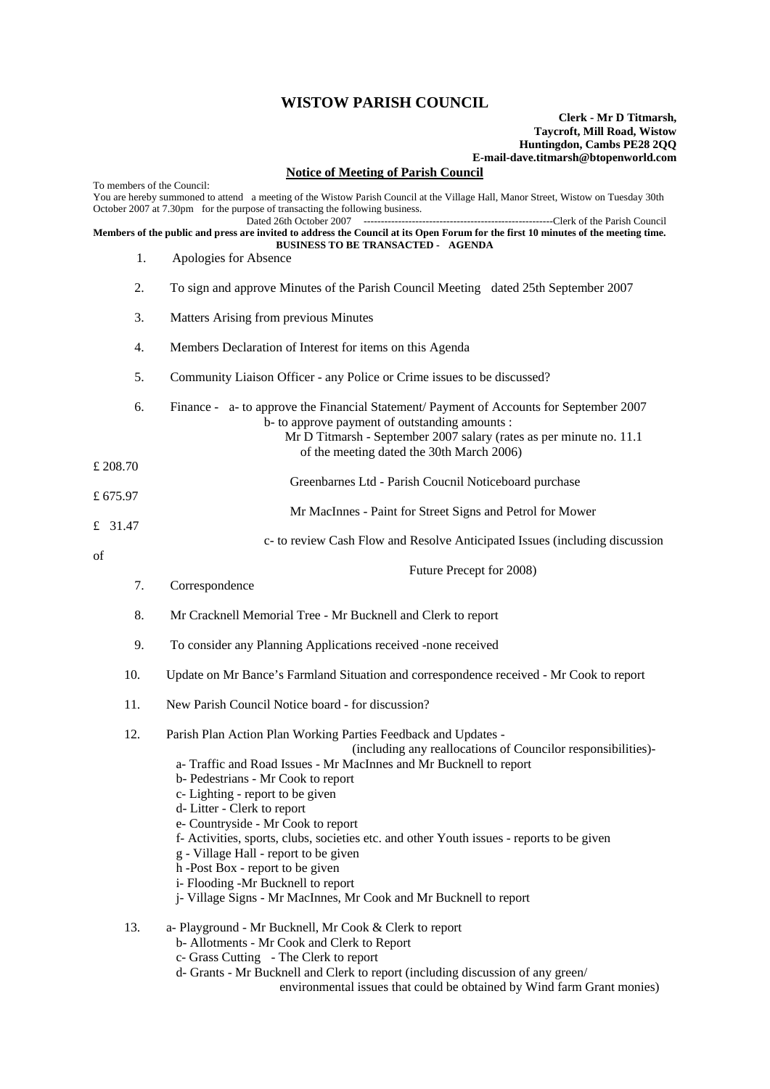## **WISTOW PARISH COUNCIL**

## **Clerk - Mr D Titmarsh, Taycroft, Mill Road, Wistow Huntingdon, Cambs PE28 2QQ E-mail-dave.titmarsh@btopenworld.com**

## **Notice of Meeting of Parish Council**

| To members of the Council:                                                                                                                                                      |                                                                                                                                                                                                                                                                                                                                                                                                                                                                                                                                                                                                                                         |
|---------------------------------------------------------------------------------------------------------------------------------------------------------------------------------|-----------------------------------------------------------------------------------------------------------------------------------------------------------------------------------------------------------------------------------------------------------------------------------------------------------------------------------------------------------------------------------------------------------------------------------------------------------------------------------------------------------------------------------------------------------------------------------------------------------------------------------------|
|                                                                                                                                                                                 | You are hereby summoned to attend a meeting of the Wistow Parish Council at the Village Hall, Manor Street, Wistow on Tuesday 30th<br>October 2007 at 7.30pm for the purpose of transacting the following business.<br>Dated 26th October 2007                                                                                                                                                                                                                                                                                                                                                                                          |
| Members of the public and press are invited to address the Council at its Open Forum for the first 10 minutes of the meeting time.<br><b>BUSINESS TO BE TRANSACTED - AGENDA</b> |                                                                                                                                                                                                                                                                                                                                                                                                                                                                                                                                                                                                                                         |
| 1.                                                                                                                                                                              | Apologies for Absence                                                                                                                                                                                                                                                                                                                                                                                                                                                                                                                                                                                                                   |
| 2.                                                                                                                                                                              | To sign and approve Minutes of the Parish Council Meeting dated 25th September 2007                                                                                                                                                                                                                                                                                                                                                                                                                                                                                                                                                     |
| 3.                                                                                                                                                                              | Matters Arising from previous Minutes                                                                                                                                                                                                                                                                                                                                                                                                                                                                                                                                                                                                   |
| 4.                                                                                                                                                                              | Members Declaration of Interest for items on this Agenda                                                                                                                                                                                                                                                                                                                                                                                                                                                                                                                                                                                |
| 5.                                                                                                                                                                              | Community Liaison Officer - any Police or Crime issues to be discussed?                                                                                                                                                                                                                                                                                                                                                                                                                                                                                                                                                                 |
| 6.                                                                                                                                                                              | Finance - a- to approve the Financial Statement/ Payment of Accounts for September 2007<br>b- to approve payment of outstanding amounts :<br>Mr D Titmarsh - September 2007 salary (rates as per minute no. 11.1)<br>of the meeting dated the 30th March 2006)                                                                                                                                                                                                                                                                                                                                                                          |
| £ 208.70                                                                                                                                                                        |                                                                                                                                                                                                                                                                                                                                                                                                                                                                                                                                                                                                                                         |
| £ $675.97$                                                                                                                                                                      | Greenbarnes Ltd - Parish Coucnil Noticeboard purchase                                                                                                                                                                                                                                                                                                                                                                                                                                                                                                                                                                                   |
| £ 31.47                                                                                                                                                                         | Mr MacInnes - Paint for Street Signs and Petrol for Mower                                                                                                                                                                                                                                                                                                                                                                                                                                                                                                                                                                               |
| of                                                                                                                                                                              | c- to review Cash Flow and Resolve Anticipated Issues (including discussion                                                                                                                                                                                                                                                                                                                                                                                                                                                                                                                                                             |
| 7.                                                                                                                                                                              | Future Precept for 2008)<br>Correspondence                                                                                                                                                                                                                                                                                                                                                                                                                                                                                                                                                                                              |
| 8.                                                                                                                                                                              | Mr Cracknell Memorial Tree - Mr Bucknell and Clerk to report                                                                                                                                                                                                                                                                                                                                                                                                                                                                                                                                                                            |
| 9.                                                                                                                                                                              | To consider any Planning Applications received -none received                                                                                                                                                                                                                                                                                                                                                                                                                                                                                                                                                                           |
| 10.                                                                                                                                                                             | Update on Mr Bance's Farmland Situation and correspondence received - Mr Cook to report                                                                                                                                                                                                                                                                                                                                                                                                                                                                                                                                                 |
| 11.                                                                                                                                                                             | New Parish Council Notice board - for discussion?                                                                                                                                                                                                                                                                                                                                                                                                                                                                                                                                                                                       |
| 12.                                                                                                                                                                             | Parish Plan Action Plan Working Parties Feedback and Updates -<br>(including any reallocations of Councilor responsibilities)-<br>a-Traffic and Road Issues - Mr MacInnes and Mr Bucknell to report<br>b- Pedestrians - Mr Cook to report<br>c- Lighting - report to be given<br>d- Litter - Clerk to report<br>e- Countryside - Mr Cook to report<br>f- Activities, sports, clubs, societies etc. and other Youth issues - reports to be given<br>g - Village Hall - report to be given<br>h -Post Box - report to be given<br>i- Flooding -Mr Bucknell to report<br>j- Village Signs - Mr MacInnes, Mr Cook and Mr Bucknell to report |
| 13.                                                                                                                                                                             | a- Playground - Mr Bucknell, Mr Cook & Clerk to report<br>b- Allotments - Mr Cook and Clerk to Report<br>c- Grass Cutting - The Clerk to report<br>d- Grants - Mr Bucknell and Clerk to report (including discussion of any green/                                                                                                                                                                                                                                                                                                                                                                                                      |

environmental issues that could be obtained by Wind farm Grant monies)